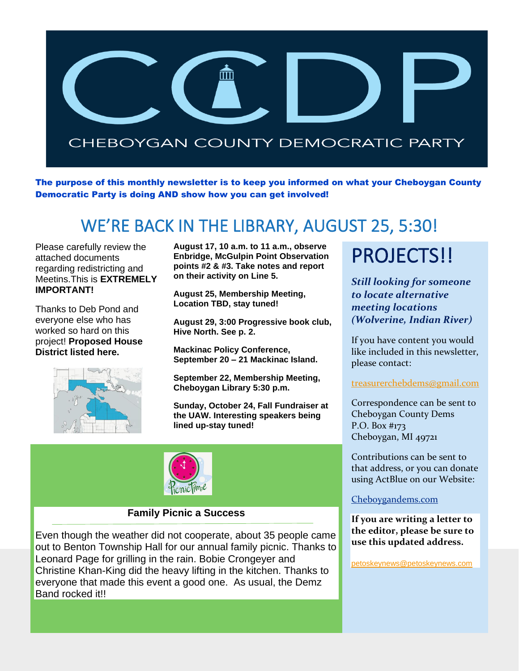

The purpose of this monthly newsletter is to keep you informed on what your Cheboygan County Democratic Party is doing AND show how you can get involved!

## WE'RE BACK IN THE LIBRARY, AUGUST 25, 5:30!

Please carefully review the attached documents regarding redistricting and Meetins.This is **EXTREMELY IMPORTANT!**

Thanks to Deb Pond and everyone else who has worked so hard on this project! **Proposed House District listed here.**



**August 17, 10 a.m. to 11 a.m., observe Enbridge, McGulpin Point Observation points #2 & #3. Take notes and report on their activity on Line 5.**

**August 25, Membership Meeting, Location TBD, stay tuned!**

**August 29, 3:00 Progressive book club, Hive North. See p. 2.**

**Mackinac Policy Conference, September 20 – 21 Mackinac Island.**

**September 22, Membership Meeting, Cheboygan Library 5:30 p.m.**

**Sunday, October 24, Fall Fundraiser at the UAW. Interesting speakers being lined up-stay tuned!**



#### **Family Picnic a Success**

Even though the weather did not cooperate, about 35 people came out to Benton Township Hall for our annual family picnic. Thanks to Leonard Page for grilling in the rain. Bobie Crongeyer and Christine Khan-King did the heavy lifting in the kitchen. Thanks to everyone that made this event a good one. As usual, the Demz Band rocked it!!

## PROJECTS!!

*Still looking for someone to locate alternative meeting locations (Wolverine, Indian River)*

If you have content you would like included in this newsletter, please contact:

[treasurerchebdems@gmail.com](mailto:treasurerchebdems@gmail.com)

Correspondence can be sent to Cheboygan County Dems P.O. Box #173 Cheboygan, MI 49721

Contributions can be sent to that address, or you can donate using ActBlue on our Website:

#### [Cheboygandems.com](http://www.cheboygandems.com/)

**If you are writing a letter to the editor, please be sure to use this updated address.** 

[petoskeynews@petoskeynews.com](mailto:petoskeynews@petoskeynews.com)